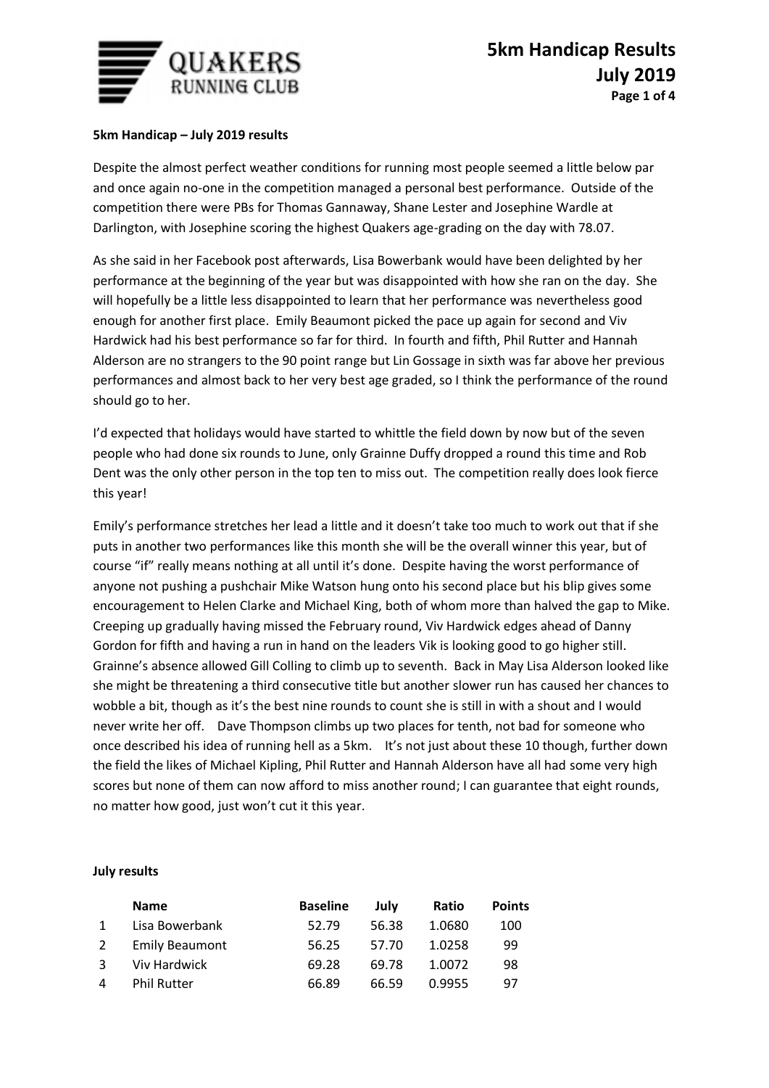

## **5km Handicap – July 2019 results**

Despite the almost perfect weather conditions for running most people seemed a little below par and once again no-one in the competition managed a personal best performance. Outside of the competition there were PBs for Thomas Gannaway, Shane Lester and Josephine Wardle at Darlington, with Josephine scoring the highest Quakers age-grading on the day with 78.07.

As she said in her Facebook post afterwards, Lisa Bowerbank would have been delighted by her performance at the beginning of the year but was disappointed with how she ran on the day. She will hopefully be a little less disappointed to learn that her performance was nevertheless good enough for another first place. Emily Beaumont picked the pace up again for second and Viv Hardwick had his best performance so far for third. In fourth and fifth, Phil Rutter and Hannah Alderson are no strangers to the 90 point range but Lin Gossage in sixth was far above her previous performances and almost back to her very best age graded, so I think the performance of the round should go to her.

I'd expected that holidays would have started to whittle the field down by now but of the seven people who had done six rounds to June, only Grainne Duffy dropped a round this time and Rob Dent was the only other person in the top ten to miss out. The competition really does look fierce this year!

Emily's performance stretches her lead a little and it doesn't take too much to work out that if she puts in another two performances like this month she will be the overall winner this year, but of course "if" really means nothing at all until it's done. Despite having the worst performance of anyone not pushing a pushchair Mike Watson hung onto his second place but his blip gives some encouragement to Helen Clarke and Michael King, both of whom more than halved the gap to Mike. Creeping up gradually having missed the February round, Viv Hardwick edges ahead of Danny Gordon for fifth and having a run in hand on the leaders Vik is looking good to go higher still. Grainne's absence allowed Gill Colling to climb up to seventh. Back in May Lisa Alderson looked like she might be threatening a third consecutive title but another slower run has caused her chances to wobble a bit, though as it's the best nine rounds to count she is still in with a shout and I would never write her off. Dave Thompson climbs up two places for tenth, not bad for someone who once described his idea of running hell as a 5km. It's not just about these 10 though, further down the field the likes of Michael Kipling, Phil Rutter and Hannah Alderson have all had some very high scores but none of them can now afford to miss another round; I can guarantee that eight rounds, no matter how good, just won't cut it this year.

## **July results**

|              | <b>Name</b>           | <b>Baseline</b> | July  | Ratio  | <b>Points</b> |
|--------------|-----------------------|-----------------|-------|--------|---------------|
|              | Lisa Bowerbank        | 52.79           | 56.38 | 1.0680 | 100           |
| <sup>2</sup> | <b>Emily Beaumont</b> | 56.25           | 57.70 | 1.0258 | 99            |
| 3            | Viv Hardwick          | 69.28           | 69.78 | 1.0072 | 98            |
| 4            | <b>Phil Rutter</b>    | 66.89           | 66.59 | 0.9955 | 97            |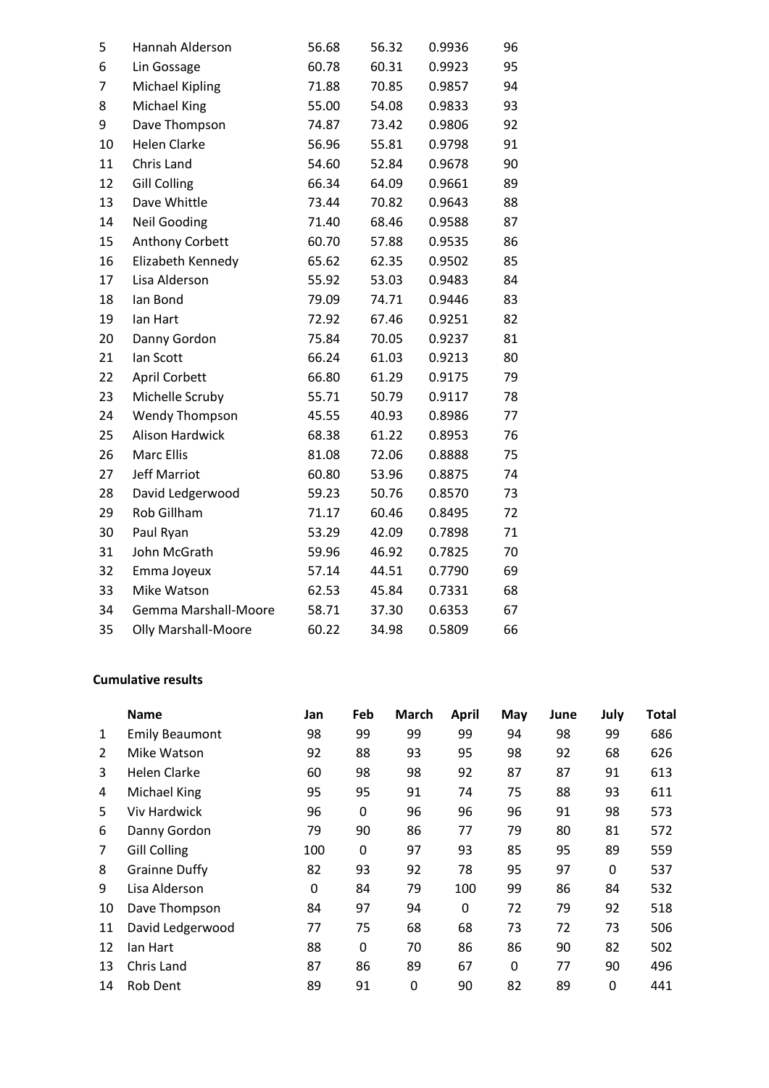| 5  | Hannah Alderson            | 56.68 | 56.32 | 0.9936 | 96 |
|----|----------------------------|-------|-------|--------|----|
| 6  | Lin Gossage                | 60.78 | 60.31 | 0.9923 | 95 |
| 7  | <b>Michael Kipling</b>     | 71.88 | 70.85 | 0.9857 | 94 |
| 8  | Michael King               | 55.00 | 54.08 | 0.9833 | 93 |
| 9  | Dave Thompson              | 74.87 | 73.42 | 0.9806 | 92 |
| 10 | <b>Helen Clarke</b>        | 56.96 | 55.81 | 0.9798 | 91 |
| 11 | Chris Land                 | 54.60 | 52.84 | 0.9678 | 90 |
| 12 | <b>Gill Colling</b>        | 66.34 | 64.09 | 0.9661 | 89 |
| 13 | Dave Whittle               | 73.44 | 70.82 | 0.9643 | 88 |
| 14 | <b>Neil Gooding</b>        | 71.40 | 68.46 | 0.9588 | 87 |
| 15 | Anthony Corbett            | 60.70 | 57.88 | 0.9535 | 86 |
| 16 | Elizabeth Kennedy          | 65.62 | 62.35 | 0.9502 | 85 |
| 17 | Lisa Alderson              | 55.92 | 53.03 | 0.9483 | 84 |
| 18 | lan Bond                   | 79.09 | 74.71 | 0.9446 | 83 |
| 19 | lan Hart                   | 72.92 | 67.46 | 0.9251 | 82 |
| 20 | Danny Gordon               | 75.84 | 70.05 | 0.9237 | 81 |
| 21 | lan Scott                  | 66.24 | 61.03 | 0.9213 | 80 |
| 22 | April Corbett              | 66.80 | 61.29 | 0.9175 | 79 |
| 23 | Michelle Scruby            | 55.71 | 50.79 | 0.9117 | 78 |
| 24 | <b>Wendy Thompson</b>      | 45.55 | 40.93 | 0.8986 | 77 |
| 25 | <b>Alison Hardwick</b>     | 68.38 | 61.22 | 0.8953 | 76 |
| 26 | <b>Marc Ellis</b>          | 81.08 | 72.06 | 0.8888 | 75 |
| 27 | <b>Jeff Marriot</b>        | 60.80 | 53.96 | 0.8875 | 74 |
| 28 | David Ledgerwood           | 59.23 | 50.76 | 0.8570 | 73 |
| 29 | Rob Gillham                | 71.17 | 60.46 | 0.8495 | 72 |
| 30 | Paul Ryan                  | 53.29 | 42.09 | 0.7898 | 71 |
| 31 | John McGrath               | 59.96 | 46.92 | 0.7825 | 70 |
| 32 | Emma Joyeux                | 57.14 | 44.51 | 0.7790 | 69 |
| 33 | Mike Watson                | 62.53 | 45.84 | 0.7331 | 68 |
| 34 | Gemma Marshall-Moore       | 58.71 | 37.30 | 0.6353 | 67 |
| 35 | <b>Olly Marshall-Moore</b> | 60.22 | 34.98 | 0.5809 | 66 |
|    |                            |       |       |        |    |

## **Cumulative results**

|                | <b>Name</b>           | Jan | Feb | March | <b>April</b> | May      | June | July | Total |
|----------------|-----------------------|-----|-----|-------|--------------|----------|------|------|-------|
| 1              | <b>Emily Beaumont</b> | 98  | 99  | 99    | 99           | 94       | 98   | 99   | 686   |
| $\overline{2}$ | Mike Watson           | 92  | 88  | 93    | 95           | 98       | 92   | 68   | 626   |
| 3              | Helen Clarke          | 60  | 98  | 98    | 92           | 87       | 87   | 91   | 613   |
| 4              | Michael King          | 95  | 95  | 91    | 74           | 75       | 88   | 93   | 611   |
| 5              | <b>Viv Hardwick</b>   | 96  | 0   | 96    | 96           | 96       | 91   | 98   | 573   |
| 6              | Danny Gordon          | 79  | 90  | 86    | 77           | 79       | 80   | 81   | 572   |
| 7              | <b>Gill Colling</b>   | 100 | 0   | 97    | 93           | 85       | 95   | 89   | 559   |
| 8              | <b>Grainne Duffy</b>  | 82  | 93  | 92    | 78           | 95       | 97   | 0    | 537   |
| 9              | Lisa Alderson         | 0   | 84  | 79    | 100          | 99       | 86   | 84   | 532   |
| 10             | Dave Thompson         | 84  | 97  | 94    | $\Omega$     | 72       | 79   | 92   | 518   |
| 11             | David Ledgerwood      | 77  | 75  | 68    | 68           | 73       | 72   | 73   | 506   |
| 12             | lan Hart              | 88  | 0   | 70    | 86           | 86       | 90   | 82   | 502   |
| 13             | Chris Land            | 87  | 86  | 89    | 67           | $\Omega$ | 77   | 90   | 496   |
| 14             | Rob Dent              | 89  | 91  | 0     | 90           | 82       | 89   | 0    | 441   |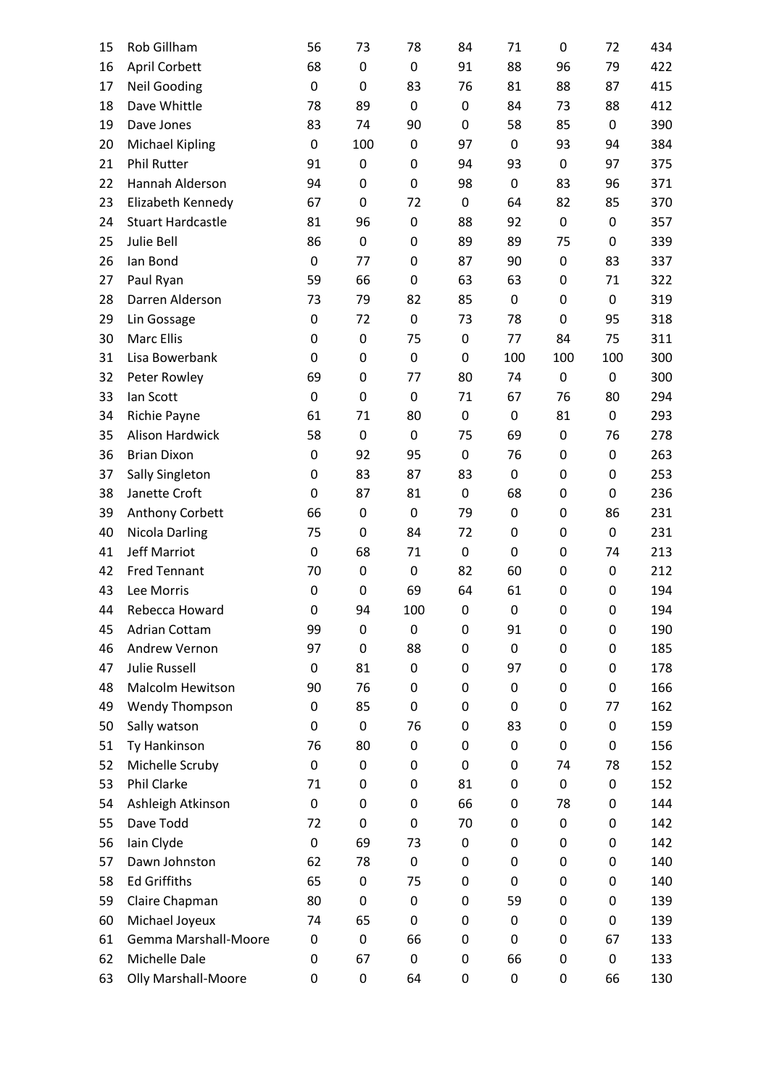| 15 | Rob Gillham                | 56               | 73               | 78               | 84               | 71               | 0   | 72               | 434 |
|----|----------------------------|------------------|------------------|------------------|------------------|------------------|-----|------------------|-----|
| 16 | <b>April Corbett</b>       | 68               | $\mathbf 0$      | 0                | 91               | 88               | 96  | 79               | 422 |
| 17 | <b>Neil Gooding</b>        | $\boldsymbol{0}$ | $\mathbf 0$      | 83               | 76               | 81               | 88  | 87               | 415 |
| 18 | Dave Whittle               | 78               | 89               | 0                | $\boldsymbol{0}$ | 84               | 73  | 88               | 412 |
| 19 | Dave Jones                 | 83               | 74               | 90               | 0                | 58               | 85  | $\boldsymbol{0}$ | 390 |
| 20 | <b>Michael Kipling</b>     | $\boldsymbol{0}$ | 100              | 0                | 97               | $\mathbf 0$      | 93  | 94               | 384 |
| 21 | <b>Phil Rutter</b>         | 91               | $\pmb{0}$        | 0                | 94               | 93               | 0   | 97               | 375 |
| 22 | Hannah Alderson            | 94               | $\boldsymbol{0}$ | 0                | 98               | $\boldsymbol{0}$ | 83  | 96               | 371 |
| 23 | Elizabeth Kennedy          | 67               | $\boldsymbol{0}$ | 72               | $\boldsymbol{0}$ | 64               | 82  | 85               | 370 |
| 24 | <b>Stuart Hardcastle</b>   | 81               | 96               | 0                | 88               | 92               | 0   | $\mathbf 0$      | 357 |
| 25 | Julie Bell                 | 86               | $\mathbf 0$      | 0                | 89               | 89               | 75  | 0                | 339 |
| 26 | lan Bond                   | $\mathbf 0$      | 77               | 0                | 87               | 90               | 0   | 83               | 337 |
| 27 | Paul Ryan                  | 59               | 66               | 0                | 63               | 63               | 0   | 71               | 322 |
| 28 | Darren Alderson            | 73               | 79               | 82               | 85               | $\mathbf 0$      | 0   | $\boldsymbol{0}$ | 319 |
| 29 | Lin Gossage                | $\mathbf 0$      | 72               | 0                | 73               | 78               | 0   | 95               | 318 |
| 30 | <b>Marc Ellis</b>          | 0                | $\boldsymbol{0}$ | 75               | $\boldsymbol{0}$ | 77               | 84  | 75               | 311 |
| 31 | Lisa Bowerbank             | 0                | $\mathbf 0$      | $\boldsymbol{0}$ | $\boldsymbol{0}$ | 100              | 100 | 100              | 300 |
| 32 | Peter Rowley               | 69               | $\mathbf 0$      | 77               | 80               | 74               | 0   | $\boldsymbol{0}$ | 300 |
| 33 | lan Scott                  | $\boldsymbol{0}$ | $\boldsymbol{0}$ | 0                | 71               | 67               | 76  | 80               | 294 |
| 34 | Richie Payne               | 61               | 71               | 80               | $\boldsymbol{0}$ | $\boldsymbol{0}$ | 81  | $\boldsymbol{0}$ | 293 |
| 35 | Alison Hardwick            | 58               | $\boldsymbol{0}$ | 0                | 75               | 69               | 0   | 76               | 278 |
| 36 | <b>Brian Dixon</b>         | $\mathbf 0$      | 92               | 95               | $\boldsymbol{0}$ | 76               | 0   | $\mathbf 0$      | 263 |
| 37 | Sally Singleton            | 0                | 83               | 87               | 83               | $\mathbf 0$      | 0   | 0                | 253 |
| 38 | Janette Croft              | $\mathbf 0$      | 87               | 81               | $\boldsymbol{0}$ | 68               | 0   | $\mathbf 0$      | 236 |
| 39 | Anthony Corbett            | 66               | $\mathbf 0$      | 0                | 79               | $\mathbf 0$      | 0   | 86               | 231 |
| 40 | <b>Nicola Darling</b>      | 75               | $\boldsymbol{0}$ | 84               | 72               | $\mathbf 0$      | 0   | $\boldsymbol{0}$ | 231 |
| 41 | <b>Jeff Marriot</b>        | $\mathbf 0$      | 68               | 71               | $\boldsymbol{0}$ | $\mathbf 0$      | 0   | 74               | 213 |
| 42 | <b>Fred Tennant</b>        | 70               | $\boldsymbol{0}$ | $\boldsymbol{0}$ | 82               | 60               | 0   | $\boldsymbol{0}$ | 212 |
| 43 | Lee Morris                 | 0                | $\mathbf 0$      | 69               | 64               | 61               | 0   | 0                | 194 |
| 44 | Rebecca Howard             | $\mathbf 0$      | 94               | 100              | $\mathbf 0$      | $\mathbf 0$      | 0   | $\mathbf 0$      | 194 |
| 45 | Adrian Cottam              | 99               | $\mathbf 0$      | 0                | 0                | 91               | 0   | $\mathbf 0$      | 190 |
| 46 | Andrew Vernon              | 97               | $\mathbf 0$      | 88               | 0                | $\mathbf 0$      | 0   | 0                | 185 |
| 47 | <b>Julie Russell</b>       | 0                | 81               | 0                | 0                | 97               | 0   | 0                | 178 |
| 48 | Malcolm Hewitson           | 90               | 76               | 0                | 0                | $\mathbf 0$      | 0   | 0                | 166 |
| 49 | Wendy Thompson             | 0                | 85               | 0                | 0                | $\mathbf 0$      | 0   | 77               | 162 |
| 50 | Sally watson               | 0                | $\mathbf 0$      | 76               | 0                | 83               | 0   | 0                | 159 |
| 51 | Ty Hankinson               | 76               | 80               | 0                | 0                | $\mathbf 0$      | 0   | $\mathbf 0$      | 156 |
| 52 | Michelle Scruby            | $\boldsymbol{0}$ | 0                | 0                | $\mathbf 0$      | $\mathbf 0$      | 74  | 78               | 152 |
| 53 | Phil Clarke                | 71               | $\mathbf 0$      | 0                | 81               | $\mathbf 0$      | 0   | $\mathbf 0$      | 152 |
| 54 | Ashleigh Atkinson          | $\boldsymbol{0}$ | $\mathbf 0$      | 0                | 66               | $\mathbf 0$      | 78  | 0                | 144 |
| 55 | Dave Todd                  | 72               | $\mathbf 0$      | 0                | 70               | $\mathbf 0$      | 0   | 0                | 142 |
| 56 | Iain Clyde                 | $\boldsymbol{0}$ | 69               | 73               | 0                | $\mathbf 0$      | 0   | 0                | 142 |
| 57 | Dawn Johnston              | 62               | 78               | 0                | 0                | $\mathbf 0$      | 0   | 0                | 140 |
| 58 | <b>Ed Griffiths</b>        | 65               | 0                | 75               | 0                | 0                | 0   | 0                | 140 |
| 59 | Claire Chapman             | 80               | $\mathbf 0$      | 0                | 0                | 59               | 0   | 0                | 139 |
| 60 | Michael Joyeux             | 74               | 65               | 0                | 0                | $\mathbf 0$      | 0   | 0                | 139 |
| 61 | Gemma Marshall-Moore       | 0                | 0                | 66               | 0                | $\mathbf 0$      | 0   | 67               | 133 |
| 62 | Michelle Dale              | 0                | 67               | 0                | 0                | 66               | 0   | $\mathbf 0$      | 133 |
| 63 | <b>Olly Marshall-Moore</b> | 0                | $\pmb{0}$        | 64               | 0                | $\pmb{0}$        | 0   | 66               | 130 |